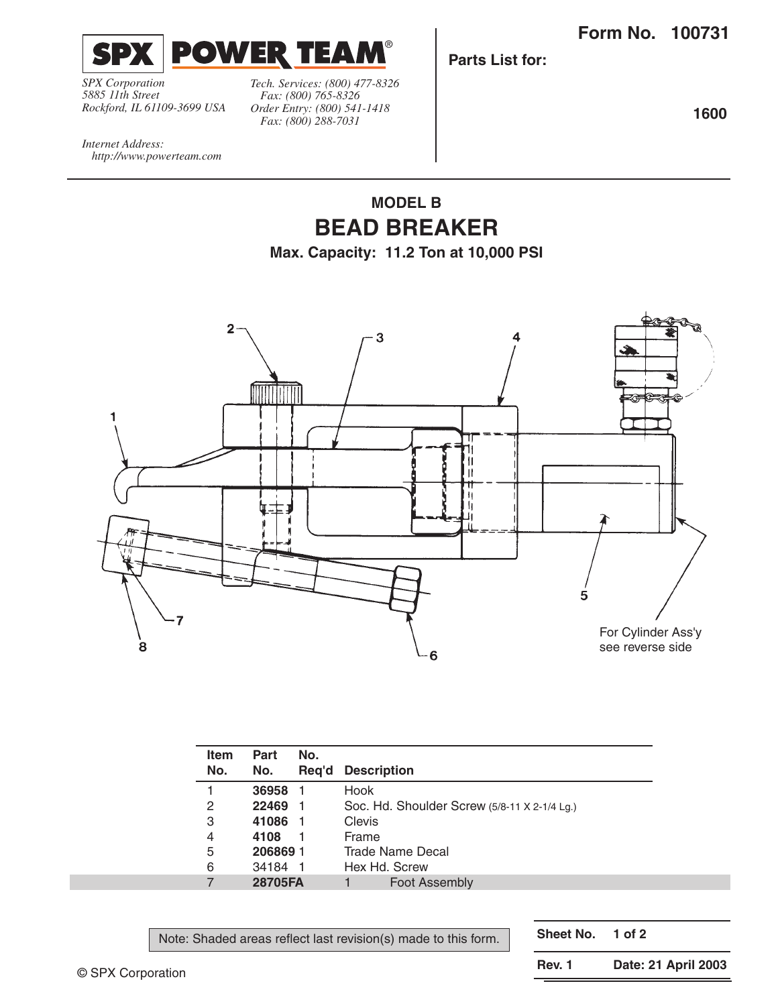**Form No. 100731**



*SPX Corporation 5885 11th Street Rockford, IL 61109-3699 USA* *Tech. Services: (800) 477-8326 Fax: (800) 765-8326 Order Entry: (800) 541-1418 Fax: (800) 288-7031*

**Parts List for:**

**1600**

*Internet Address: http://www.powerteam.com*

## **MODEL B BEAD BREAKER**

**Max. Capacity: 11.2 Ton at 10,000 PSI**



| No. |         |       |                                              |
|-----|---------|-------|----------------------------------------------|
|     | No.     | Reg'd | <b>Description</b>                           |
| 1   | 36958   |       | Hook                                         |
| 2   | 22469   |       | Soc. Hd. Shoulder Screw (5/8-11 X 2-1/4 Lg.) |
| 3   | 41086   |       | Clevis                                       |
| 4   | 4108    |       | Frame                                        |
| 5   | 2068691 |       | Trade Name Decal                             |
| 6   | 34184   |       | Hex Hd. Screw                                |
| 7   | 28705FA |       | <b>Foot Assembly</b>                         |

Note: Shaded areas reflect last revision(s) made to this form.

**Sheet No. 1 of 2**

© SPX Corporation

**Rev. 1 Date: 21 April 2003**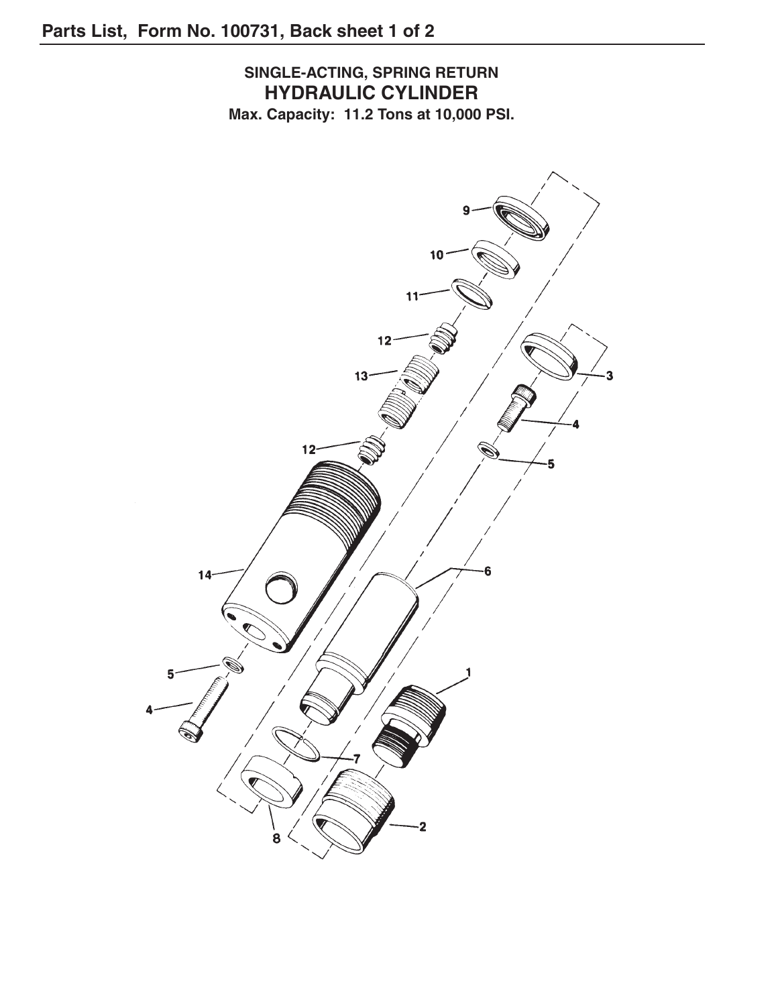**SINGLE-ACTING, SPRING RETURN HYDRAULIC CYLINDER Max. Capacity: 11.2 Tons at 10,000 PSI.**